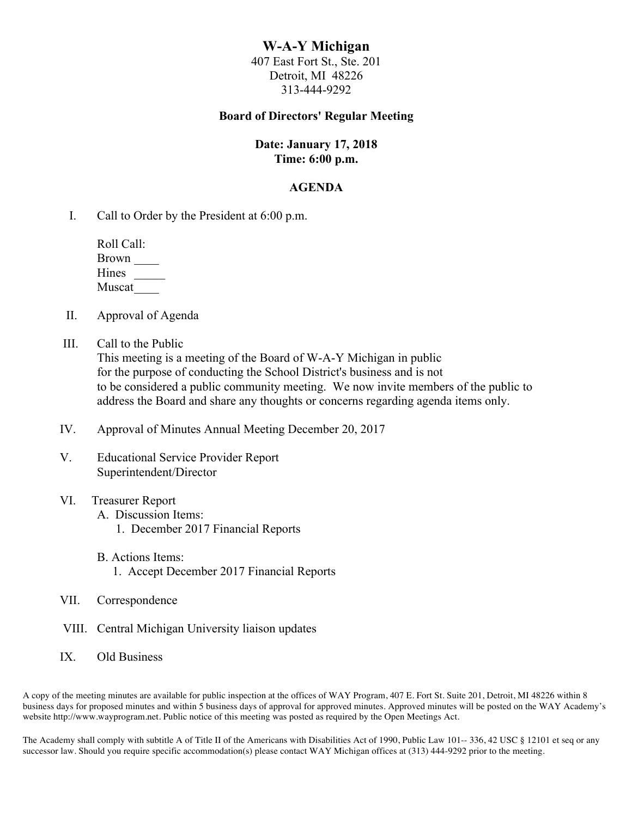# **W-A-Y Michigan**

407 East Fort St., Ste. 201 Detroit, MI 48226 313-444-9292

## **Board of Directors' Regular Meeting**

## **Date: January 17, 2018 Time: 6:00 p.m.**

## **AGENDA**

I. Call to Order by the President at 6:00 p.m.

 Roll Call: Brown \_\_\_\_ Hines \_\_\_\_\_ Muscat\_\_\_\_

- II. Approval of Agenda
- III. Call to the Public

This meeting is a meeting of the Board of W-A-Y Michigan in public for the purpose of conducting the School District's business and is not to be considered a public community meeting. We now invite members of the public to address the Board and share any thoughts or concerns regarding agenda items only.

- IV. Approval of Minutes Annual Meeting December 20, 2017
- V. Educational Service Provider Report Superintendent/Director

## VI. Treasurer Report

- A. Discussion Items:
	- 1. December 2017 Financial Reports
- B. Actions Items:
	- 1. Accept December 2017 Financial Reports
- VII. Correspondence
- VIII. Central Michigan University liaison updates
- IX. Old Business

A copy of the meeting minutes are available for public inspection at the offices of WAY Program, 407 E. Fort St. Suite 201, Detroit, MI 48226 within 8 business days for proposed minutes and within 5 business days of approval for approved minutes. Approved minutes will be posted on the WAY Academy's website http://www.wayprogram.net. Public notice of this meeting was posted as required by the Open Meetings Act.

The Academy shall comply with subtitle A of Title II of the Americans with Disabilities Act of 1990, Public Law 101-- 336, 42 USC § 12101 et seq or any successor law. Should you require specific accommodation(s) please contact WAY Michigan offices at (313) 444-9292 prior to the meeting.